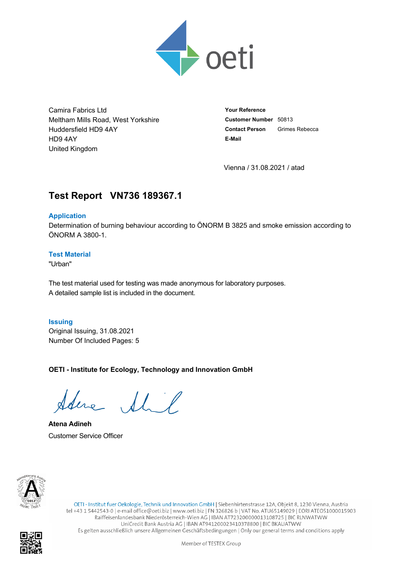

Camira Fabrics Ltd Meltham Mills Road, West Yorkshire Huddersfield HD9 4AY HD9 4AY United Kingdom

**Your Reference Customer Number** 50813 **Contact Person** Grimes Rebecca **E-Mail**

Vienna / 31.08.2021 / atad

# **Test Report VN736.189367.1**

### **Application**

Determination of burning behaviour according to ÖNORM B 3825 and smoke emission according to ÖNORM A 3800-1.

### **Test Material**

"Urban"

The test material used for testing was made anonymous for laboratory purposes. A detailed sample list is included in the document.

**Issuing** Original Issuing, 31.08.2021 Number Of Included Pages: 5

**OETI - Institute for Ecology, Technology and Innovation GmbH**

re Shit

**Atena Adineh** Customer Service Officer



OETI - Institut fuer Oekologie, Technik und Innovation GmbH | Siebenhirtenstrasse 12A, Objekt 8, 1230 Vienna, Austria tel +43 1 5442543-0 | e-mail office@oeti.biz | www.oeti.biz | FN 326826 b | VAT No. ATU65149029 | EORI ATEOS1000015903 Raiffeisenlandesbank Niederösterreich-Wien AG | IBAN AT723200000013108725 | BIC RLNWATWW UniCredit Bank Austria AG | IBAN AT941200023410378800 | BIC BKAUATWW Es gelten ausschließlich unsere Allgemeinen Geschäftsbedingungen | Only our general terms and conditions apply

Member of TESTEX Group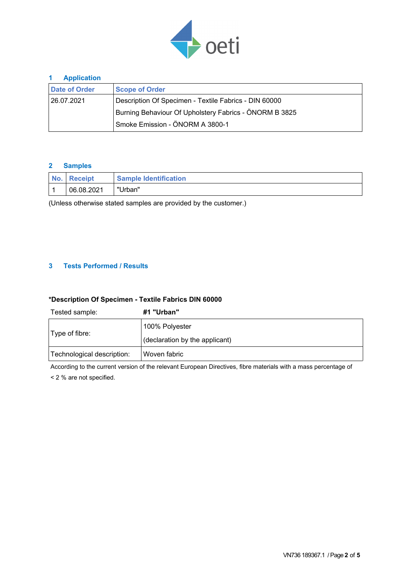

#### **1 Application**

| <b>Date of Order</b>                                   | <b>Scope of Order</b>                                 |  |  |  |  |
|--------------------------------------------------------|-------------------------------------------------------|--|--|--|--|
| 26.07.2021 ا                                           | Description Of Specimen - Textile Fabrics - DIN 60000 |  |  |  |  |
| Burning Behaviour Of Upholstery Fabrics - ÖNORM B 3825 |                                                       |  |  |  |  |
|                                                        | Smoke Emission - ÖNORM A 3800-1                       |  |  |  |  |

#### **2 Samples**

| No. | <b>Receipt</b> | <b>Sample Identification</b> |
|-----|----------------|------------------------------|
|     | 06.08.2021     | "Urban"                      |

(Unless otherwise stated samples are provided by the customer.)

#### **3 Tests Performed / Results**

### **\*Description Of Specimen - Textile Fabrics DIN 60000**

| Tested sample:             | #1 "Urban"                     |
|----------------------------|--------------------------------|
| $ Type\ of\ fibre:$        | 100% Polyester                 |
|                            | (declaration by the applicant) |
| Technological description: | Woven fabric                   |

According to the current version of the relevant European Directives, fibre materials with a mass percentage of < 2 % are not specified.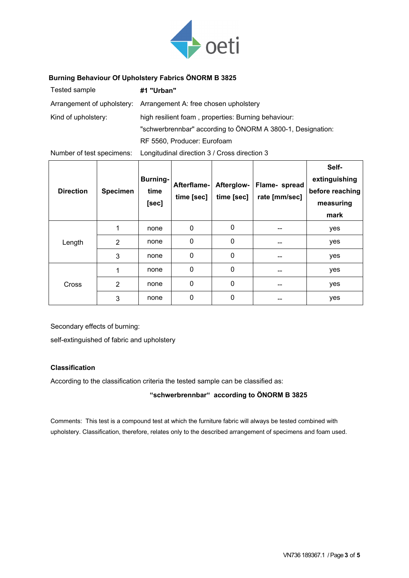

### **Burning Behaviour Of Upholstery Fabrics ÖNORM B 3825**

| Tested sample       | #1 "Urban"                                                       |
|---------------------|------------------------------------------------------------------|
|                     | Arrangement of upholstery: Arrangement A: free chosen upholstery |
| Kind of upholstery: | high resilient foam, properties: Burning behaviour:              |
|                     | "schwerbrennbar" according to ÖNORM A 3800-1, Designation:       |
|                     | RF 5560, Producer: Eurofoam                                      |

Number of test specimens: Longitudinal direction 3 / Cross direction 3

| <b>Direction</b> | <b>Specimen</b> | <b>Burning-</b><br>time<br>[sec] | Afterflame-<br>time [sec] | Afterglow-<br>time [sec] | Flame- spread<br>rate [mm/sec] | Self-<br>extinguishing<br>before reaching<br>measuring<br>mark |
|------------------|-----------------|----------------------------------|---------------------------|--------------------------|--------------------------------|----------------------------------------------------------------|
| Length           |                 | none                             | $\mathbf{0}$              | 0                        | --                             | yes                                                            |
|                  | $\overline{2}$  | none                             | $\mathbf 0$               | 0                        | --                             | yes                                                            |
|                  | 3               | none                             | $\mathbf{0}$              | $\mathbf{0}$             | --                             | yes                                                            |
| Cross            | 1               | none                             | $\mathbf{0}$              | $\mathbf 0$              | --                             | yes                                                            |
|                  | $\overline{2}$  | none                             | $\mathbf{0}$              | 0                        | --                             | yes                                                            |
|                  | 3               | none                             | 0                         | 0                        | --                             | yes                                                            |

Secondary effects of burning:

self-extinguished of fabric and upholstery

#### **Classification**

According to the classification criteria the tested sample can be classified as:

**"schwerbrennbar" according to ÖNORM B 3825**

Comments: This test is a compound test at which the furniture fabric will always be tested combined with upholstery. Classification, therefore, relates only to the described arrangement of specimens and foam used.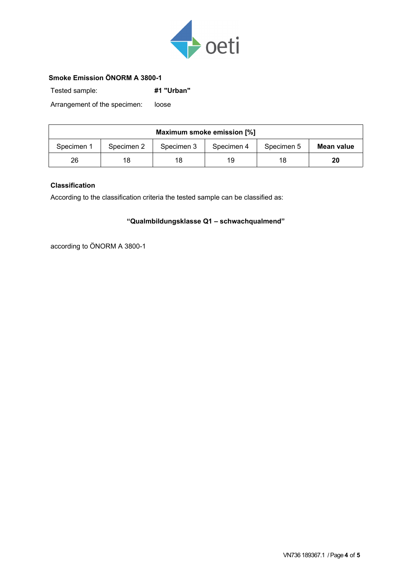

### **Smoke Emission ÖNORM A 3800-1**

Tested sample: **#1 "Urban"**

Arrangement of the specimen: loose

| Maximum smoke emission [%] |            |            |            |            |            |  |  |  |
|----------------------------|------------|------------|------------|------------|------------|--|--|--|
| Specimen 1                 | Specimen 2 | Specimen 3 | Specimen 4 | Specimen 5 | Mean value |  |  |  |
| 26                         | 18         | 18         | 19         | 18         | 20         |  |  |  |

### **Classification**

According to the classification criteria the tested sample can be classified as:

## **"Qualmbildungsklasse Q1 – schwachqualmend"**

according to ÖNORM A 3800-1